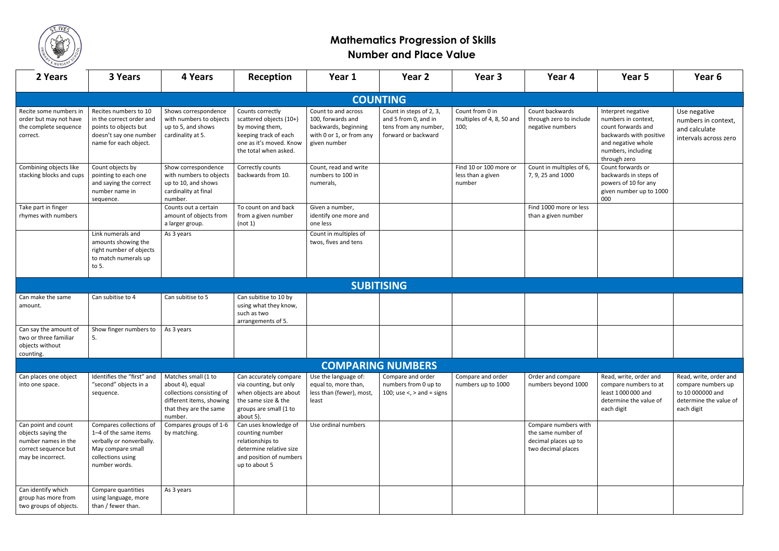

## **Mathematics Progression of Skills Number and Place Value**

| 2 Years                                                                                                       | 3 Years                                                                                                                                 | 4 Years                                                                                                                              | Reception                                                                                                                                   | Year 1                                                                                                       | Year 2                                                                                          | Year 3                                                | Year 4                                                                                   | Year <sub>5</sub>                                                                                                                                      | Year <sub>6</sub>                                                                      |
|---------------------------------------------------------------------------------------------------------------|-----------------------------------------------------------------------------------------------------------------------------------------|--------------------------------------------------------------------------------------------------------------------------------------|---------------------------------------------------------------------------------------------------------------------------------------------|--------------------------------------------------------------------------------------------------------------|-------------------------------------------------------------------------------------------------|-------------------------------------------------------|------------------------------------------------------------------------------------------|--------------------------------------------------------------------------------------------------------------------------------------------------------|----------------------------------------------------------------------------------------|
|                                                                                                               |                                                                                                                                         |                                                                                                                                      |                                                                                                                                             |                                                                                                              | <b>COUNTING</b>                                                                                 |                                                       |                                                                                          |                                                                                                                                                        |                                                                                        |
| Recite some numbers in<br>order but may not have<br>the complete sequence<br>correct.                         | Recites numbers to 10<br>in the correct order and<br>points to objects but<br>doesn't say one number<br>name for each object.           | Shows correspondence<br>with numbers to objects<br>up to 5, and shows<br>cardinality at 5.                                           | Counts correctly<br>scattered objects (10+)<br>by moving them,<br>keeping track of each<br>one as it's moved. Know<br>the total when asked. | Count to and across<br>100, forwards and<br>backwards, beginning<br>with 0 or 1, or from any<br>given number | Count in steps of 2, 3,<br>and 5 from 0, and in<br>tens from any number,<br>forward or backward | Count from 0 in<br>multiples of 4, 8, 50 and<br>100;  | Count backwards<br>through zero to include<br>negative numbers                           | Interpret negative<br>numbers in context,<br>count forwards and<br>backwards with positive<br>and negative whole<br>numbers, including<br>through zero | Use negative<br>numbers in cor<br>and calculate<br>intervals across                    |
| Combining objects like<br>stacking blocks and cups                                                            | Count objects by<br>pointing to each one<br>and saying the correct<br>number name in<br>sequence.                                       | Show correspondence<br>with numbers to objects<br>up to 10, and shows<br>cardinality at final<br>number.                             | Correctly counts<br>backwards from 10.                                                                                                      | Count, read and write<br>numbers to 100 in<br>numerals,                                                      |                                                                                                 | Find 10 or 100 more or<br>less than a given<br>number | Count in multiples of 6,<br>7, 9, 25 and 1000                                            | Count forwards or<br>backwards in steps of<br>powers of 10 for any<br>given number up to 1000<br>000                                                   |                                                                                        |
| Take part in finger<br>rhymes with numbers                                                                    |                                                                                                                                         | Counts out a certain<br>amount of objects from<br>a larger group.                                                                    | To count on and back<br>from a given number<br>(not 1)                                                                                      | Given a number,<br>identify one more and<br>one less                                                         |                                                                                                 |                                                       | Find 1000 more or less<br>than a given number                                            |                                                                                                                                                        |                                                                                        |
|                                                                                                               | Link numerals and<br>amounts showing the<br>right number of objects<br>to match numerals up<br>to 5.                                    | As 3 years                                                                                                                           |                                                                                                                                             | Count in multiples of<br>twos, fives and tens                                                                |                                                                                                 |                                                       |                                                                                          |                                                                                                                                                        |                                                                                        |
|                                                                                                               |                                                                                                                                         |                                                                                                                                      |                                                                                                                                             |                                                                                                              | <b>SUBITISING</b>                                                                               |                                                       |                                                                                          |                                                                                                                                                        |                                                                                        |
| Can make the same<br>amount.                                                                                  | Can subitise to 4                                                                                                                       | Can subitise to 5                                                                                                                    | Can subitise to 10 by<br>using what they know,<br>such as two<br>arrangements of 5.                                                         |                                                                                                              |                                                                                                 |                                                       |                                                                                          |                                                                                                                                                        |                                                                                        |
| Can say the amount of<br>two or three familiar<br>objects without<br>counting.                                | Show finger numbers to<br>5.                                                                                                            | As 3 years                                                                                                                           |                                                                                                                                             |                                                                                                              |                                                                                                 |                                                       |                                                                                          |                                                                                                                                                        |                                                                                        |
|                                                                                                               |                                                                                                                                         |                                                                                                                                      |                                                                                                                                             |                                                                                                              | <b>COMPARING NUMBERS</b>                                                                        |                                                       |                                                                                          |                                                                                                                                                        |                                                                                        |
| Can places one object<br>into one space.                                                                      | Identifies the "first" and<br>"second" objects in a<br>sequence.                                                                        | Matches small (1 to<br>about 4), equal<br>collections consisting of<br>different items, showing<br>that they are the same<br>number. | Can accurately compare<br>via counting, but only<br>when objects are about<br>the same size & the<br>groups are small (1 to<br>about 5).    | Use the language of:<br>equal to, more than,<br>less than (fewer), most,<br>least                            | Compare and order<br>numbers from 0 up to<br>100; use $\lt$ , $>$ and = signs                   | Compare and order<br>numbers up to 1000               | Order and compare<br>numbers beyond 1000                                                 | Read, write, order and<br>compare numbers to at<br>least 1000 000 and<br>determine the value of<br>each digit                                          | Read, write, ord<br>compare numbe<br>to 10 000000 an<br>determine the va<br>each digit |
| Can point and count<br>objects saying the<br>number names in the<br>correct sequence but<br>may be incorrect. | Compares collections of<br>1-4 of the same items<br>verbally or nonverbally.<br>May compare small<br>collections using<br>number words. | Compares groups of 1-6<br>by matching.                                                                                               | Can uses knowledge of<br>counting number<br>relationships to<br>determine relative size<br>and position of numbers<br>up to about 5         | Use ordinal numbers                                                                                          |                                                                                                 |                                                       | Compare numbers with<br>the same number of<br>decimal places up to<br>two decimal places |                                                                                                                                                        |                                                                                        |
| Can identify which<br>group has more from<br>two groups of objects.                                           | Compare quantities<br>using language, more<br>than / fewer than.                                                                        | As 3 years                                                                                                                           |                                                                                                                                             |                                                                                                              |                                                                                                 |                                                       |                                                                                          |                                                                                                                                                        |                                                                                        |

|   | Year 5                                                                                                                                                 | Year 6                                                                                                   |  |  |  |  |
|---|--------------------------------------------------------------------------------------------------------------------------------------------------------|----------------------------------------------------------------------------------------------------------|--|--|--|--|
|   |                                                                                                                                                        |                                                                                                          |  |  |  |  |
| ∍ | Interpret negative<br>numbers in context,<br>count forwards and<br>backwards with positive<br>and negative whole<br>numbers, including<br>through zero | Use negative<br>numbers in context,<br>and calculate<br>intervals across zero                            |  |  |  |  |
|   | Count forwards or<br>backwards in steps of<br>powers of 10 for any<br>given number up to 1000<br>000                                                   |                                                                                                          |  |  |  |  |
|   |                                                                                                                                                        |                                                                                                          |  |  |  |  |
|   |                                                                                                                                                        |                                                                                                          |  |  |  |  |
|   |                                                                                                                                                        |                                                                                                          |  |  |  |  |
|   |                                                                                                                                                        |                                                                                                          |  |  |  |  |
|   |                                                                                                                                                        |                                                                                                          |  |  |  |  |
|   |                                                                                                                                                        |                                                                                                          |  |  |  |  |
|   | Read, write, order and<br>compare numbers to at<br>least 1000000 and<br>determine the value of<br>each digit                                           | Read, write, order and<br>compare numbers up<br>to 10 000000 and<br>determine the value of<br>each digit |  |  |  |  |
| h |                                                                                                                                                        |                                                                                                          |  |  |  |  |
|   |                                                                                                                                                        |                                                                                                          |  |  |  |  |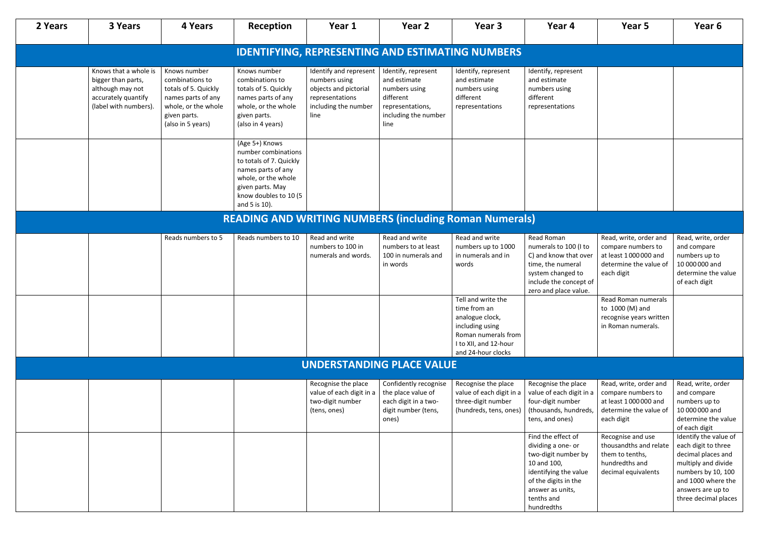| 2 Years                                                 | <b>3 Years</b>                                                                                                  | 4 Years                                                                                                                                   | Reception                                                                                                                                                                   | Year 1                                                                                                              | Year 2                                                                                                                | Year 3                                                                                                                                         | Year 4                                                                                                                                                                          | Year 5                                                                                                       | Year 6                                                                                                                                                                             |  |
|---------------------------------------------------------|-----------------------------------------------------------------------------------------------------------------|-------------------------------------------------------------------------------------------------------------------------------------------|-----------------------------------------------------------------------------------------------------------------------------------------------------------------------------|---------------------------------------------------------------------------------------------------------------------|-----------------------------------------------------------------------------------------------------------------------|------------------------------------------------------------------------------------------------------------------------------------------------|---------------------------------------------------------------------------------------------------------------------------------------------------------------------------------|--------------------------------------------------------------------------------------------------------------|------------------------------------------------------------------------------------------------------------------------------------------------------------------------------------|--|
| <b>IDENTIFYING, REPRESENTING AND ESTIMATING NUMBERS</b> |                                                                                                                 |                                                                                                                                           |                                                                                                                                                                             |                                                                                                                     |                                                                                                                       |                                                                                                                                                |                                                                                                                                                                                 |                                                                                                              |                                                                                                                                                                                    |  |
|                                                         | Knows that a whole is<br>bigger than parts,<br>although may not<br>accurately quantify<br>(label with numbers). | Knows number<br>combinations to<br>totals of 5. Quickly<br>names parts of any<br>whole, or the whole<br>given parts.<br>(also in 5 years) | Knows number<br>combinations to<br>totals of 5. Quickly<br>names parts of any<br>whole, or the whole<br>given parts.<br>(also in 4 years)                                   | Identify and represent<br>numbers using<br>objects and pictorial<br>representations<br>including the number<br>line | Identify, represent<br>and estimate<br>numbers using<br>different<br>representations,<br>including the number<br>line | Identify, represent<br>and estimate<br>numbers using<br>different<br>representations                                                           | Identify, represent<br>and estimate<br>numbers using<br>different<br>representations                                                                                            |                                                                                                              |                                                                                                                                                                                    |  |
|                                                         |                                                                                                                 |                                                                                                                                           | (Age 5+) Knows<br>number combinations<br>to totals of 7. Quickly<br>names parts of any<br>whole, or the whole<br>given parts. May<br>know doubles to 10 (5<br>and 5 is 10). |                                                                                                                     |                                                                                                                       |                                                                                                                                                |                                                                                                                                                                                 |                                                                                                              |                                                                                                                                                                                    |  |
|                                                         |                                                                                                                 |                                                                                                                                           | <b>READING AND WRITING NUMBERS (including Roman Numerals)</b>                                                                                                               |                                                                                                                     |                                                                                                                       |                                                                                                                                                |                                                                                                                                                                                 |                                                                                                              |                                                                                                                                                                                    |  |
|                                                         |                                                                                                                 | Reads numbers to 5                                                                                                                        | Reads numbers to 10                                                                                                                                                         | Read and write<br>numbers to 100 in<br>numerals and words.                                                          | Read and write<br>numbers to at least<br>100 in numerals and<br>in words                                              | Read and write<br>numbers up to 1000<br>in numerals and in<br>words                                                                            | Read Roman<br>numerals to 100 (I to<br>C) and know that over<br>time, the numeral<br>system changed to<br>include the concept of<br>zero and place value.                       | Read, write, order and<br>compare numbers to<br>at least 1000000 and<br>determine the value of<br>each digit | Read, write, order<br>and compare<br>numbers up to<br>10 000 000 and<br>determine the value<br>of each digit                                                                       |  |
|                                                         |                                                                                                                 |                                                                                                                                           |                                                                                                                                                                             |                                                                                                                     |                                                                                                                       | Tell and write the<br>time from an<br>analogue clock,<br>including using<br>Roman numerals from<br>I to XII, and 12-hour<br>and 24-hour clocks |                                                                                                                                                                                 | Read Roman numerals<br>to 1000 (M) and<br>recognise years written<br>in Roman numerals.                      |                                                                                                                                                                                    |  |
|                                                         |                                                                                                                 |                                                                                                                                           |                                                                                                                                                                             |                                                                                                                     | <b>UNDERSTANDING PLACE VALUE</b>                                                                                      |                                                                                                                                                |                                                                                                                                                                                 |                                                                                                              |                                                                                                                                                                                    |  |
|                                                         |                                                                                                                 |                                                                                                                                           |                                                                                                                                                                             | Recognise the place<br>value of each digit in a<br>two-digit number<br>(tens, ones)                                 | Confidently recognise<br>the place value of<br>each digit in a two-<br>digit number (tens,<br>ones)                   | Recognise the place<br>value of each digit in a<br>three-digit number<br>(hundreds, tens, ones)                                                | Recognise the place<br>value of each digit in a<br>four-digit number<br>(thousands, hundreds,<br>tens, and ones)                                                                | Read, write, order and<br>compare numbers to<br>at least 1000000 and<br>determine the value of<br>each digit | Read, write, order<br>and compare<br>numbers up to<br>10 000 000 and<br>determine the value<br>of each digit                                                                       |  |
|                                                         |                                                                                                                 |                                                                                                                                           |                                                                                                                                                                             |                                                                                                                     |                                                                                                                       |                                                                                                                                                | Find the effect of<br>dividing a one- or<br>two-digit number by<br>10 and 100,<br>identifying the value<br>of the digits in the<br>answer as units,<br>tenths and<br>hundredths | Recognise and use<br>thousandths and relate<br>them to tenths,<br>hundredths and<br>decimal equivalents      | Identify the value of<br>each digit to three<br>decimal places and<br>multiply and divide<br>numbers by 10, 100<br>and 1000 where the<br>answers are up to<br>three decimal places |  |